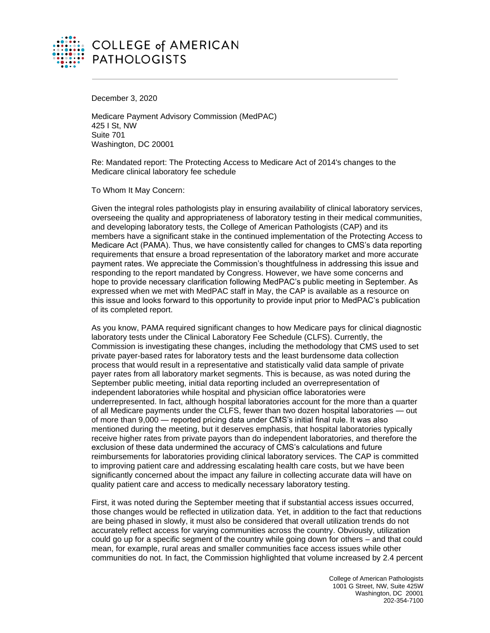

December 3, 2020

Medicare Payment Advisory Commission (MedPAC) 425 I St, NW Suite 701 Washington, DC 20001

Re: Mandated report: The Protecting Access to Medicare Act of 2014's changes to the Medicare clinical laboratory fee schedule

To Whom It May Concern:

Given the integral roles pathologists play in ensuring availability of clinical laboratory services, overseeing the quality and appropriateness of laboratory testing in their medical communities, and developing laboratory tests, the College of American Pathologists (CAP) and its members have a significant stake in the continued implementation of the Protecting Access to Medicare Act (PAMA). Thus, we have consistently called for changes to CMS's data reporting requirements that ensure a broad representation of the laboratory market and more accurate payment rates. We appreciate the Commission's thoughtfulness in addressing this issue and responding to the report mandated by Congress. However, we have some concerns and hope to provide necessary clarification following MedPAC's public meeting in September. As expressed when we met with MedPAC staff in May, the CAP is available as a resource on this issue and looks forward to this opportunity to provide input prior to MedPAC's publication of its completed report.

As you know, PAMA required significant changes to how Medicare pays for clinical diagnostic laboratory tests under the Clinical Laboratory Fee Schedule (CLFS). Currently, the Commission is investigating these changes, including the methodology that CMS used to set private payer-based rates for laboratory tests and the least burdensome data collection process that would result in a representative and statistically valid data sample of private payer rates from all laboratory market segments. This is because, as was noted during the September public meeting, initial data reporting included an overrepresentation of independent laboratories while hospital and physician office laboratories were underrepresented. In fact, although hospital laboratories account for the more than a quarter of all Medicare payments under the CLFS, fewer than two dozen hospital laboratories — out of more than 9,000 — reported pricing data under CMS's initial final rule. It was also mentioned during the meeting, but it deserves emphasis, that hospital laboratories typically receive higher rates from private payors than do independent laboratories, and therefore the exclusion of these data undermined the accuracy of CMS's calculations and future reimbursements for laboratories providing clinical laboratory services. The CAP is committed to improving patient care and addressing escalating health care costs, but we have been significantly concerned about the impact any failure in collecting accurate data will have on quality patient care and access to medically necessary laboratory testing.

First, it was noted during the September meeting that if substantial access issues occurred, those changes would be reflected in utilization data. Yet, in addition to the fact that reductions are being phased in slowly, it must also be considered that overall utilization trends do not accurately reflect access for varying communities across the country. Obviously, utilization could go up for a specific segment of the country while going down for others – and that could mean, for example, rural areas and smaller communities face access issues while other communities do not. In fact, the Commission highlighted that volume increased by 2.4 percent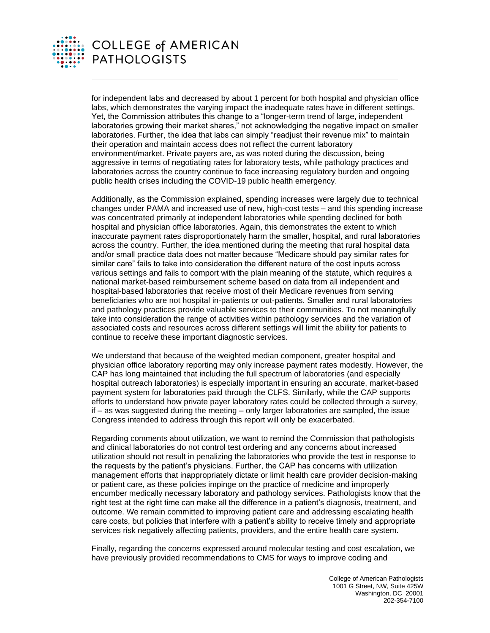

for independent labs and decreased by about 1 percent for both hospital and physician office labs, which demonstrates the varying impact the inadequate rates have in different settings. Yet, the Commission attributes this change to a "longer-term trend of large, independent laboratories growing their market shares," not acknowledging the negative impact on smaller laboratories. Further, the idea that labs can simply "readjust their revenue mix" to maintain their operation and maintain access does not reflect the current laboratory environment/market. Private payers are, as was noted during the discussion, being aggressive in terms of negotiating rates for laboratory tests, while pathology practices and laboratories across the country continue to face increasing regulatory burden and ongoing public health crises including the COVID-19 public health emergency.

Additionally, as the Commission explained, spending increases were largely due to technical changes under PAMA and increased use of new, high-cost tests – and this spending increase was concentrated primarily at independent laboratories while spending declined for both hospital and physician office laboratories. Again, this demonstrates the extent to which inaccurate payment rates disproportionately harm the smaller, hospital, and rural laboratories across the country. Further, the idea mentioned during the meeting that rural hospital data and/or small practice data does not matter because "Medicare should pay similar rates for similar care" fails to take into consideration the different nature of the cost inputs across various settings and fails to comport with the plain meaning of the statute, which requires a national market-based reimbursement scheme based on data from all independent and hospital-based laboratories that receive most of their Medicare revenues from serving beneficiaries who are not hospital in-patients or out-patients. Smaller and rural laboratories and pathology practices provide valuable services to their communities. To not meaningfully take into consideration the range of activities within pathology services and the variation of associated costs and resources across different settings will limit the ability for patients to continue to receive these important diagnostic services.

We understand that because of the weighted median component, greater hospital and physician office laboratory reporting may only increase payment rates modestly. However, the CAP has long maintained that including the full spectrum of laboratories (and especially hospital outreach laboratories) is especially important in ensuring an accurate, market-based payment system for laboratories paid through the CLFS. Similarly, while the CAP supports efforts to understand how private payer laboratory rates could be collected through a survey, if – as was suggested during the meeting – only larger laboratories are sampled, the issue Congress intended to address through this report will only be exacerbated.

Regarding comments about utilization, we want to remind the Commission that pathologists and clinical laboratories do not control test ordering and any concerns about increased utilization should not result in penalizing the laboratories who provide the test in response to the requests by the patient's physicians. Further, the CAP has concerns with utilization management efforts that inappropriately dictate or limit health care provider decision-making or patient care, as these policies impinge on the practice of medicine and improperly encumber medically necessary laboratory and pathology services. Pathologists know that the right test at the right time can make all the difference in a patient's diagnosis, treatment, and outcome. We remain committed to improving patient care and addressing escalating health care costs, but policies that interfere with a patient's ability to receive timely and appropriate services risk negatively affecting patients, providers, and the entire health care system.

Finally, regarding the concerns expressed around molecular testing and cost escalation, we have previously provided recommendations to CMS for ways to improve coding and